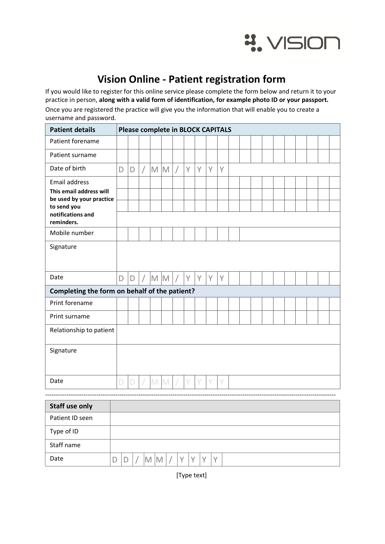

## Vision Online - Patient registration form

If you would like to register for this online service please complete the form below and return it to your practice in person, along with a valid form of identification, for example photo ID or your passport. Once you are registered the practice will give you the information that will enable you to create a username and password.

| <b>Patient details</b>                              | <b>Please complete in BLOCK CAPITALS</b> |              |            |     |     |   |   |   |   |   |  |  |  |  |  |  |  |
|-----------------------------------------------------|------------------------------------------|--------------|------------|-----|-----|---|---|---|---|---|--|--|--|--|--|--|--|
| Patient forename                                    |                                          |              |            |     |     |   |   |   |   |   |  |  |  |  |  |  |  |
| Patient surname                                     |                                          |              |            |     |     |   |   |   |   |   |  |  |  |  |  |  |  |
| Date of birth                                       | D                                        | D            | $\sqrt{2}$ | M M |     | Ϊ | Y | Y | Y | Y |  |  |  |  |  |  |  |
| <b>Email address</b>                                |                                          |              |            |     |     |   |   |   |   |   |  |  |  |  |  |  |  |
| This email address will<br>be used by your practice |                                          |              |            |     |     |   |   |   |   |   |  |  |  |  |  |  |  |
| to send you<br>notifications and                    |                                          |              |            |     |     |   |   |   |   |   |  |  |  |  |  |  |  |
| reminders.                                          |                                          |              |            |     |     |   |   |   |   |   |  |  |  |  |  |  |  |
| Mobile number                                       |                                          |              |            |     |     |   |   |   |   |   |  |  |  |  |  |  |  |
| Signature                                           |                                          |              |            |     |     |   |   |   |   |   |  |  |  |  |  |  |  |
|                                                     |                                          |              |            |     |     |   |   |   |   |   |  |  |  |  |  |  |  |
| Date                                                | D                                        | $\mathsf{D}$ | $\bigg)$   |     | M M |   | Y | Y | Y | Y |  |  |  |  |  |  |  |
| Completing the form on behalf of the patient?       |                                          |              |            |     |     |   |   |   |   |   |  |  |  |  |  |  |  |
| Print forename                                      |                                          |              |            |     |     |   |   |   |   |   |  |  |  |  |  |  |  |
| Print surname                                       |                                          |              |            |     |     |   |   |   |   |   |  |  |  |  |  |  |  |
| Relationship to patient                             |                                          |              |            |     |     |   |   |   |   |   |  |  |  |  |  |  |  |
|                                                     |                                          |              |            |     |     |   |   |   |   |   |  |  |  |  |  |  |  |
| Signature                                           |                                          |              |            |     |     |   |   |   |   |   |  |  |  |  |  |  |  |
|                                                     |                                          |              |            |     |     |   |   |   |   |   |  |  |  |  |  |  |  |
| Date                                                | D                                        | D            |            | M M |     |   | V | V | ٧ | V |  |  |  |  |  |  |  |
|                                                     |                                          |              |            |     |     |   |   |   |   |   |  |  |  |  |  |  |  |

| <b>Staff use only</b> |  |   |  |  |  |  |
|-----------------------|--|---|--|--|--|--|
| Patient ID seen       |  |   |  |  |  |  |
| Type of ID            |  |   |  |  |  |  |
| Staff name            |  |   |  |  |  |  |
| Date                  |  | M |  |  |  |  |

[Type text]